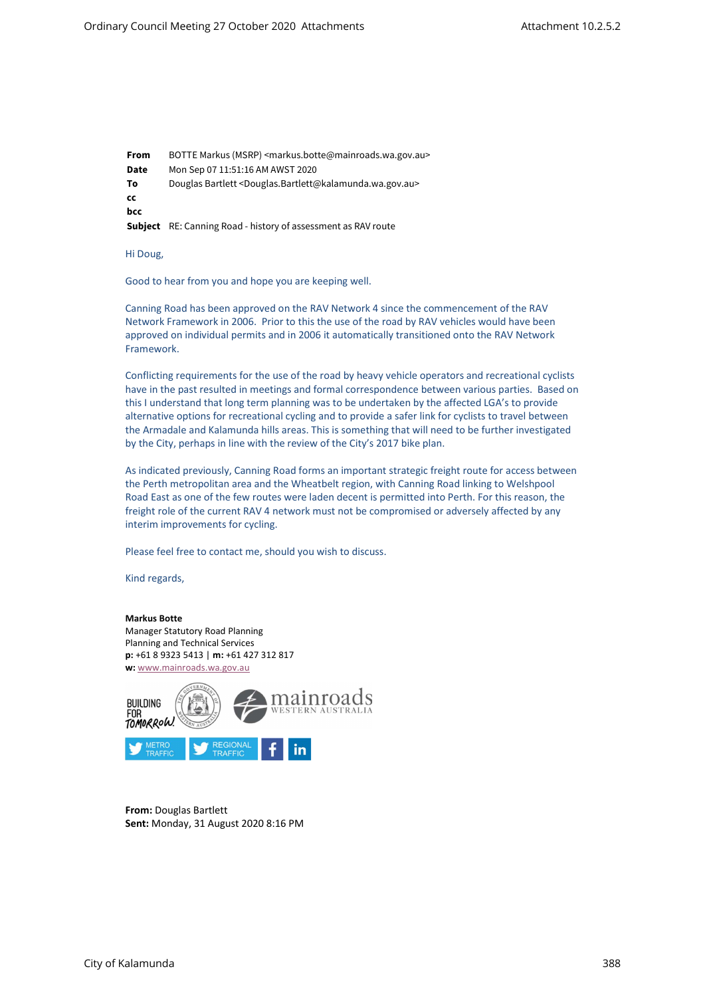From BOTTE Markus (MSRP) <markus.botte@mainroads.wa.gov.au> Date Mon Sep 07 11:51:16 AM AWST 2020 To Douglas Bartlett <Douglas.Bartlett@kalamunda.wa.gov.au> cc bcc Subject RE: Canning Road - history of assessment as RAV route

Hi Doug,

Good to hear from you and hope you are keeping well.

Canning Road has been approved on the RAV Network 4 since the commencement of the RAV Network Framework in 2006. Prior to this the use of the road by RAV vehicles would have been approved on individual permits and in 2006 it automatically transitioned onto the RAV Network Framework.

Conflicting requirements for the use of the road by heavy vehicle operators and recreational cyclists have in the past resulted in meetings and formal correspondence between various parties. Based on this I understand that long term planning was to be undertaken by the affected LGA's to provide alternative options for recreational cycling and to provide a safer link for cyclists to travel between the Armadale and Kalamunda hills areas. This is something that will need to be further investigated by the City, perhaps in line with the review of the City's 2017 bike plan.

As indicated previously, Canning Road forms an important strategic freight route for access between the Perth metropolitan area and the Wheatbelt region, with Canning Road linking to Welshpool Road East as one of the few routes were laden decent is permitted into Perth. For this reason, the freight role of the current RAV 4 network must not be compromised or adversely affected by any interim improvements for cycling.

Please feel free to contact me, should you wish to discuss.

Kind regards,

## Markus Botte

Manager Statutory Road Planning Planning and Technical Services p: +61 8 9323 5413 | m: +61 427 312 817 w: www.mainroads.wa.gov.au



From: Douglas Bartlett Sent: Monday, 31 August 2020 8:16 PM